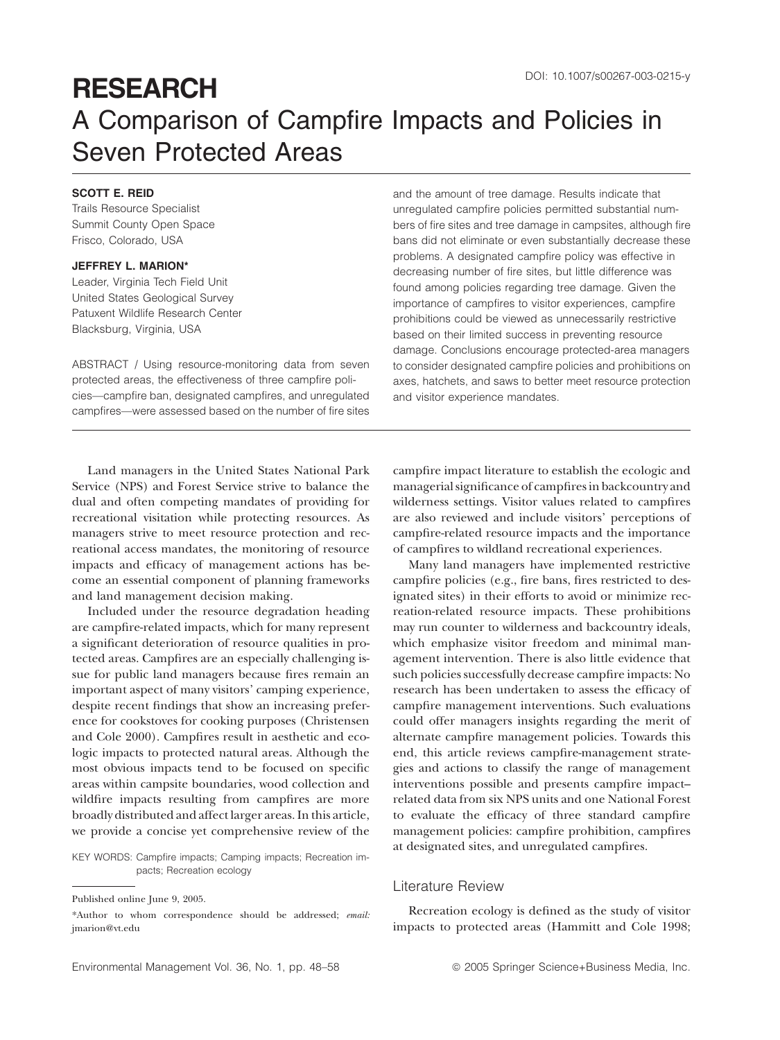# RESEARCH A Comparison of Campfire Impacts and Policies in Seven Protected Areas

## SCOTT E. REID

Trails Resource Specialist Summit County Open Space Frisco, Colorado, USA

## JEFFREY L. MARION\*

Leader, Virginia Tech Field Unit United States Geological Survey Patuxent Wildlife Research Center Blacksburg, Virginia, USA

ABSTRACT / Using resource-monitoring data from seven protected areas, the effectiveness of three campfire policies—campfire ban, designated campfires, and unregulated campfires—were assessed based on the number of fire sites

Land managers in the United States National Park Service (NPS) and Forest Service strive to balance the dual and often competing mandates of providing for recreational visitation while protecting resources. As managers strive to meet resource protection and recreational access mandates, the monitoring of resource impacts and efficacy of management actions has become an essential component of planning frameworks and land management decision making.

Included under the resource degradation heading are campfire-related impacts, which for many represent a significant deterioration of resource qualities in protected areas. Campfires are an especially challenging issue for public land managers because fires remain an important aspect of many visitors' camping experience, despite recent findings that show an increasing preference for cookstoves for cooking purposes (Christensen and Cole 2000). Campfires result in aesthetic and ecologic impacts to protected natural areas. Although the most obvious impacts tend to be focused on specific areas within campsite boundaries, wood collection and wildfire impacts resulting from campfires are more broadly distributed and affect larger areas. In this article, we provide a concise yet comprehensive review of the

KEY WORDS: Campfire impacts; Camping impacts; Recreation impacts; Recreation ecology

and the amount of tree damage. Results indicate that unregulated campfire policies permitted substantial numbers of fire sites and tree damage in campsites, although fire bans did not eliminate or even substantially decrease these problems. A designated campfire policy was effective in decreasing number of fire sites, but little difference was found among policies regarding tree damage. Given the importance of campfires to visitor experiences, campfire prohibitions could be viewed as unnecessarily restrictive based on their limited success in preventing resource damage. Conclusions encourage protected-area managers to consider designated campfire policies and prohibitions on axes, hatchets, and saws to better meet resource protection and visitor experience mandates.

campfire impact literature to establish the ecologic and managerial significance of campfires in backcountry and wilderness settings. Visitor values related to campfires are also reviewed and include visitors' perceptions of campfire-related resource impacts and the importance of campfires to wildland recreational experiences.

Many land managers have implemented restrictive campfire policies (e.g., fire bans, fires restricted to designated sites) in their efforts to avoid or minimize recreation-related resource impacts. These prohibitions may run counter to wilderness and backcountry ideals, which emphasize visitor freedom and minimal management intervention. There is also little evidence that such policies successfully decrease campfire impacts: No research has been undertaken to assess the efficacy of campfire management interventions. Such evaluations could offer managers insights regarding the merit of alternate campfire management policies. Towards this end, this article reviews campfire-management strategies and actions to classify the range of management interventions possible and presents campfire impact– related data from six NPS units and one National Forest to evaluate the efficacy of three standard campfire management policies: campfire prohibition, campfires at designated sites, and unregulated campfires.

## Literature Review

Recreation ecology is defined as the study of visitor impacts to protected areas (Hammitt and Cole 1998;

Published online June 9, 2005.

<sup>\*</sup>Author to whom correspondence should be addressed; email: jmarion@vt.edu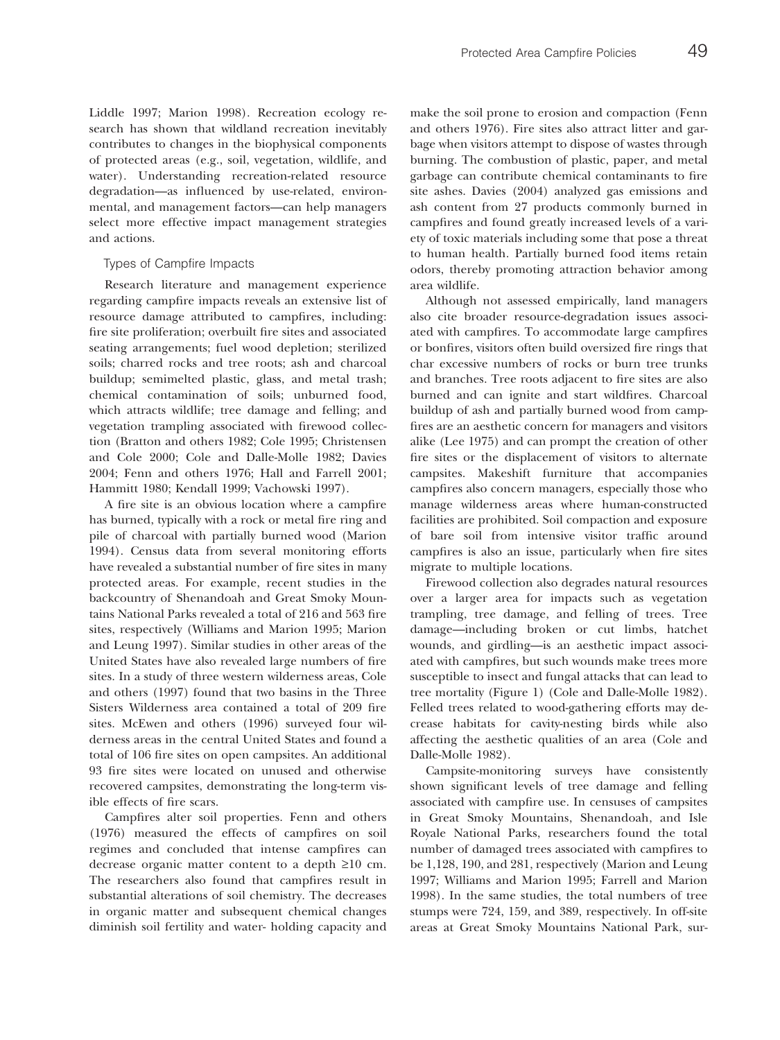Liddle 1997; Marion 1998). Recreation ecology research has shown that wildland recreation inevitably contributes to changes in the biophysical components of protected areas (e.g., soil, vegetation, wildlife, and water). Understanding recreation-related resource degradation—as influenced by use-related, environmental, and management factors—can help managers select more effective impact management strategies and actions.

## Types of Campfire Impacts

Research literature and management experience regarding campfire impacts reveals an extensive list of resource damage attributed to campfires, including: fire site proliferation; overbuilt fire sites and associated seating arrangements; fuel wood depletion; sterilized soils; charred rocks and tree roots; ash and charcoal buildup; semimelted plastic, glass, and metal trash; chemical contamination of soils; unburned food, which attracts wildlife; tree damage and felling; and vegetation trampling associated with firewood collection (Bratton and others 1982; Cole 1995; Christensen and Cole 2000; Cole and Dalle-Molle 1982; Davies 2004; Fenn and others 1976; Hall and Farrell 2001; Hammitt 1980; Kendall 1999; Vachowski 1997).

A fire site is an obvious location where a campfire has burned, typically with a rock or metal fire ring and pile of charcoal with partially burned wood (Marion 1994). Census data from several monitoring efforts have revealed a substantial number of fire sites in many protected areas. For example, recent studies in the backcountry of Shenandoah and Great Smoky Mountains National Parks revealed a total of 216 and 563 fire sites, respectively (Williams and Marion 1995; Marion and Leung 1997). Similar studies in other areas of the United States have also revealed large numbers of fire sites. In a study of three western wilderness areas, Cole and others (1997) found that two basins in the Three Sisters Wilderness area contained a total of 209 fire sites. McEwen and others (1996) surveyed four wilderness areas in the central United States and found a total of 106 fire sites on open campsites. An additional 93 fire sites were located on unused and otherwise recovered campsites, demonstrating the long-term visible effects of fire scars.

Campfires alter soil properties. Fenn and others (1976) measured the effects of campfires on soil regimes and concluded that intense campfires can decrease organic matter content to a depth  $\geq 10$  cm. The researchers also found that campfires result in substantial alterations of soil chemistry. The decreases in organic matter and subsequent chemical changes diminish soil fertility and water- holding capacity and

make the soil prone to erosion and compaction (Fenn and others 1976). Fire sites also attract litter and garbage when visitors attempt to dispose of wastes through burning. The combustion of plastic, paper, and metal garbage can contribute chemical contaminants to fire site ashes. Davies (2004) analyzed gas emissions and ash content from 27 products commonly burned in campfires and found greatly increased levels of a variety of toxic materials including some that pose a threat to human health. Partially burned food items retain odors, thereby promoting attraction behavior among area wildlife.

Although not assessed empirically, land managers also cite broader resource-degradation issues associated with campfires. To accommodate large campfires or bonfires, visitors often build oversized fire rings that char excessive numbers of rocks or burn tree trunks and branches. Tree roots adjacent to fire sites are also burned and can ignite and start wildfires. Charcoal buildup of ash and partially burned wood from campfires are an aesthetic concern for managers and visitors alike (Lee 1975) and can prompt the creation of other fire sites or the displacement of visitors to alternate campsites. Makeshift furniture that accompanies campfires also concern managers, especially those who manage wilderness areas where human-constructed facilities are prohibited. Soil compaction and exposure of bare soil from intensive visitor traffic around campfires is also an issue, particularly when fire sites migrate to multiple locations.

Firewood collection also degrades natural resources over a larger area for impacts such as vegetation trampling, tree damage, and felling of trees. Tree damage—including broken or cut limbs, hatchet wounds, and girdling—is an aesthetic impact associated with campfires, but such wounds make trees more susceptible to insect and fungal attacks that can lead to tree mortality (Figure 1) (Cole and Dalle-Molle 1982). Felled trees related to wood-gathering efforts may decrease habitats for cavity-nesting birds while also affecting the aesthetic qualities of an area (Cole and Dalle-Molle 1982).

Campsite-monitoring surveys have consistently shown significant levels of tree damage and felling associated with campfire use. In censuses of campsites in Great Smoky Mountains, Shenandoah, and Isle Royale National Parks, researchers found the total number of damaged trees associated with campfires to be 1,128, 190, and 281, respectively (Marion and Leung 1997; Williams and Marion 1995; Farrell and Marion 1998). In the same studies, the total numbers of tree stumps were 724, 159, and 389, respectively. In off-site areas at Great Smoky Mountains National Park, sur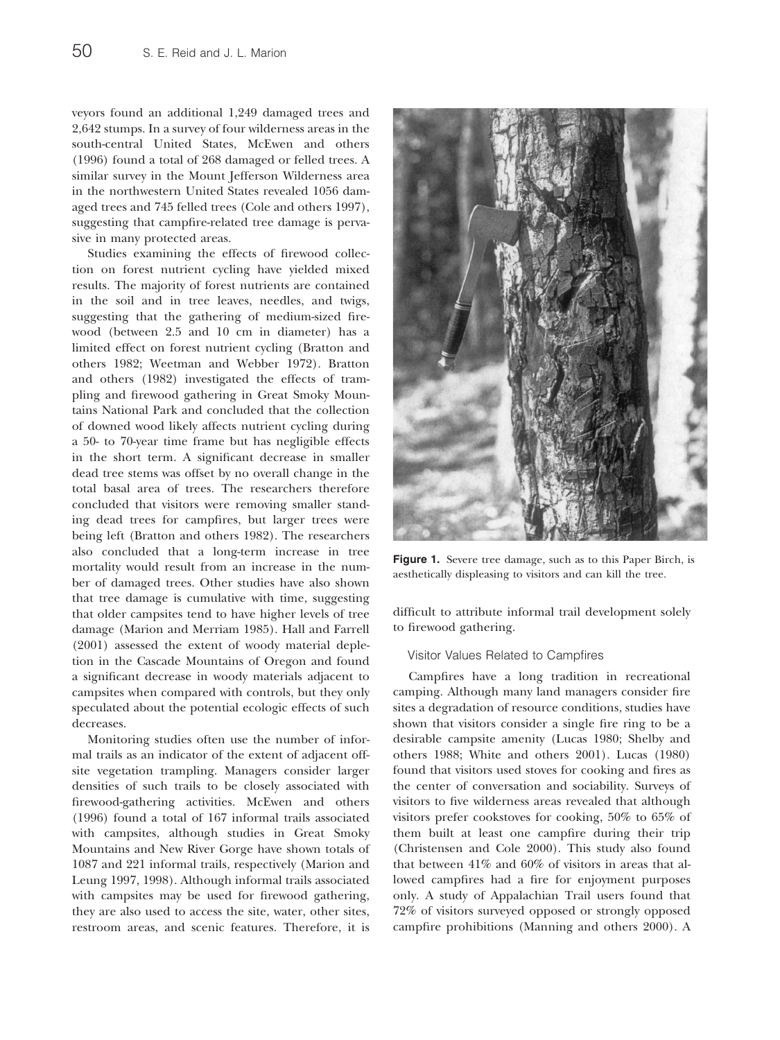veyors found an additional 1,249 damaged trees and 2,642 stumps. In a survey of four wilderness areas in the south-central United States, McEwen and others (1996) found a total of 268 damaged or felled trees. A similar survey in the Mount Jefferson Wilderness area in the northwestern United States revealed 1056 damaged trees and 745 felled trees (Cole and others 1997), suggesting that campfire-related tree damage is pervasive in many protected areas.

Studies examining the effects of firewood collection on forest nutrient cycling have yielded mixed results. The majority of forest nutrients are contained in the soil and in tree leaves, needles, and twigs, suggesting that the gathering of medium-sized firewood (between 2.5 and 10 cm in diameter) has a limited effect on forest nutrient cycling (Bratton and others 1982; Weetman and Webber 1972). Bratton and others (1982) investigated the effects of trampling and firewood gathering in Great Smoky Mountains National Park and concluded that the collection of downed wood likely affects nutrient cycling during a 50- to 70-year time frame but has negligible effects in the short term. A significant decrease in smaller dead tree stems was offset by no overall change in the total basal area of trees. The researchers therefore concluded that visitors were removing smaller standing dead trees for campfires, but larger trees were being left (Bratton and others 1982). The researchers also concluded that a long-term increase in tree mortality would result from an increase in the number of damaged trees. Other studies have also shown that tree damage is cumulative with time, suggesting that older campsites tend to have higher levels of tree damage (Marion and Merriam 1985). Hall and Farrell (2001) assessed the extent of woody material depletion in the Cascade Mountains of Oregon and found a significant decrease in woody materials adjacent to campsites when compared with controls, but they only speculated about the potential ecologic effects of such decreases.

Monitoring studies often use the number of informal trails as an indicator of the extent of adjacent offsite vegetation trampling. Managers consider larger densities of such trails to be closely associated with firewood-gathering activities. McEwen and others (1996) found a total of 167 informal trails associated with campsites, although studies in Great Smoky Mountains and New River Gorge have shown totals of 1087 and 221 informal trails, respectively (Marion and Leung 1997, 1998). Although informal trails associated with campsites may be used for firewood gathering, they are also used to access the site, water, other sites, restroom areas, and scenic features. Therefore, it is



Figure 1. Severe tree damage, such as to this Paper Birch, is aesthetically displeasing to visitors and can kill the tree.

difficult to attribute informal trail development solely to firewood gathering.

## Visitor Values Related to Campfires

Campfires have a long tradition in recreational camping. Although many land managers consider fire sites a degradation of resource conditions, studies have shown that visitors consider a single fire ring to be a desirable campsite amenity (Lucas 1980; Shelby and others 1988; White and others 2001). Lucas (1980) found that visitors used stoves for cooking and fires as the center of conversation and sociability. Surveys of visitors to five wilderness areas revealed that although visitors prefer cookstoves for cooking, 50% to 65% of them built at least one campfire during their trip (Christensen and Cole 2000). This study also found that between 41% and 60% of visitors in areas that allowed campfires had a fire for enjoyment purposes only. A study of Appalachian Trail users found that 72% of visitors surveyed opposed or strongly opposed campfire prohibitions (Manning and others 2000). A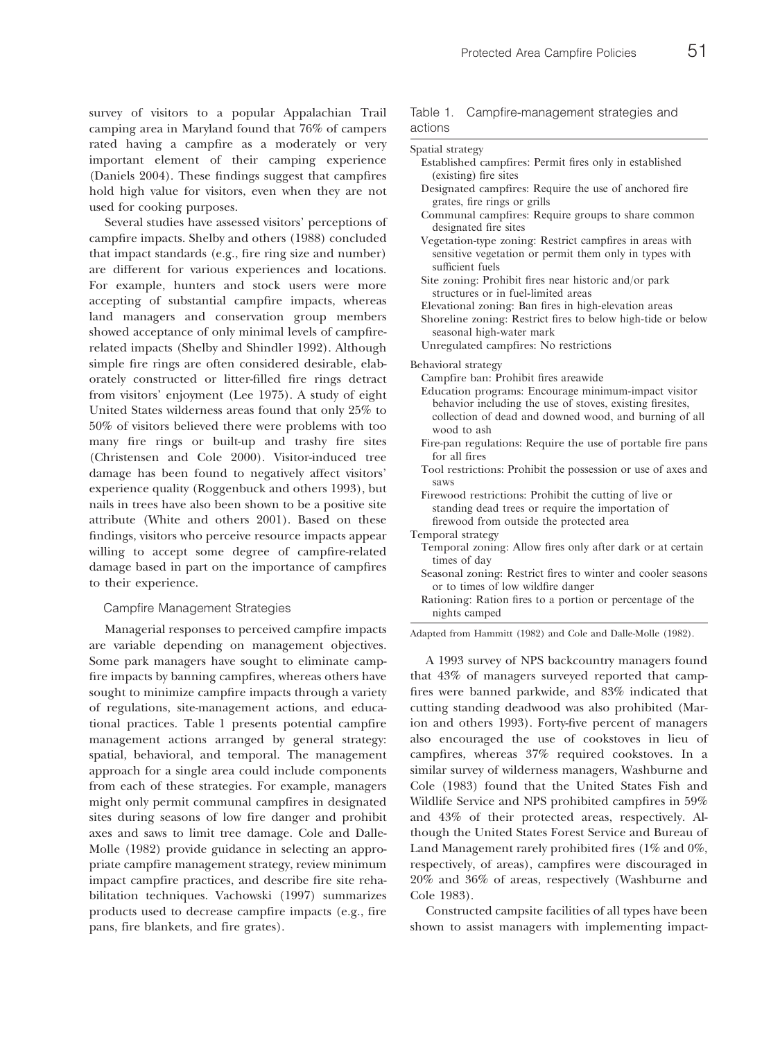survey of visitors to a popular Appalachian Trail camping area in Maryland found that 76% of campers rated having a campfire as a moderately or very important element of their camping experience (Daniels 2004). These findings suggest that campfires hold high value for visitors, even when they are not used for cooking purposes.

Several studies have assessed visitors' perceptions of campfire impacts. Shelby and others (1988) concluded that impact standards (e.g., fire ring size and number) are different for various experiences and locations. For example, hunters and stock users were more accepting of substantial campfire impacts, whereas land managers and conservation group members showed acceptance of only minimal levels of campfirerelated impacts (Shelby and Shindler 1992). Although simple fire rings are often considered desirable, elaborately constructed or litter-filled fire rings detract from visitors' enjoyment (Lee 1975). A study of eight United States wilderness areas found that only 25% to 50% of visitors believed there were problems with too many fire rings or built-up and trashy fire sites (Christensen and Cole 2000). Visitor-induced tree damage has been found to negatively affect visitors' experience quality (Roggenbuck and others 1993), but nails in trees have also been shown to be a positive site attribute (White and others 2001). Based on these findings, visitors who perceive resource impacts appear willing to accept some degree of campfire-related damage based in part on the importance of campfires to their experience.

#### Campfire Management Strategies

Managerial responses to perceived campfire impacts are variable depending on management objectives. Some park managers have sought to eliminate campfire impacts by banning campfires, whereas others have sought to minimize campfire impacts through a variety of regulations, site-management actions, and educational practices. Table 1 presents potential campfire management actions arranged by general strategy: spatial, behavioral, and temporal. The management approach for a single area could include components from each of these strategies. For example, managers might only permit communal campfires in designated sites during seasons of low fire danger and prohibit axes and saws to limit tree damage. Cole and Dalle-Molle (1982) provide guidance in selecting an appropriate campfire management strategy, review minimum impact campfire practices, and describe fire site rehabilitation techniques. Vachowski (1997) summarizes products used to decrease campfire impacts (e.g., fire pans, fire blankets, and fire grates).

|         | Table 1. Campfire-management strategies and |  |
|---------|---------------------------------------------|--|
| actions |                                             |  |

#### Spatial strategy

- Established campfires: Permit fires only in established (existing) fire sites
- Designated campfires: Require the use of anchored fire grates, fire rings or grills
- Communal campfires: Require groups to share common designated fire sites
- Vegetation-type zoning: Restrict campfires in areas with sensitive vegetation or permit them only in types with sufficient fuels
- Site zoning: Prohibit fires near historic and/or park structures or in fuel-limited areas
- Elevational zoning: Ban fires in high-elevation areas
- Shoreline zoning: Restrict fires to below high-tide or below seasonal high-water mark
- Unregulated campfires: No restrictions

Behavioral strategy

- Campfire ban: Prohibit fires areawide
- Education programs: Encourage minimum-impact visitor behavior including the use of stoves, existing firesites, collection of dead and downed wood, and burning of all wood to ash
- Fire-pan regulations: Require the use of portable fire pans for all fires
- Tool restrictions: Prohibit the possession or use of axes and saws
- Firewood restrictions: Prohibit the cutting of live or standing dead trees or require the importation of firewood from outside the protected area
- Temporal strategy
	- Temporal zoning: Allow fires only after dark or at certain times of day
	- Seasonal zoning: Restrict fires to winter and cooler seasons or to times of low wildfire danger
	- Rationing: Ration fires to a portion or percentage of the nights camped

Adapted from Hammitt (1982) and Cole and Dalle-Molle (1982).

A 1993 survey of NPS backcountry managers found that 43% of managers surveyed reported that campfires were banned parkwide, and 83% indicated that cutting standing deadwood was also prohibited (Marion and others 1993). Forty-five percent of managers also encouraged the use of cookstoves in lieu of campfires, whereas 37% required cookstoves. In a similar survey of wilderness managers, Washburne and Cole (1983) found that the United States Fish and Wildlife Service and NPS prohibited campfires in 59% and 43% of their protected areas, respectively. Although the United States Forest Service and Bureau of Land Management rarely prohibited fires (1% and 0%, respectively, of areas), campfires were discouraged in 20% and 36% of areas, respectively (Washburne and Cole 1983).

Constructed campsite facilities of all types have been shown to assist managers with implementing impact-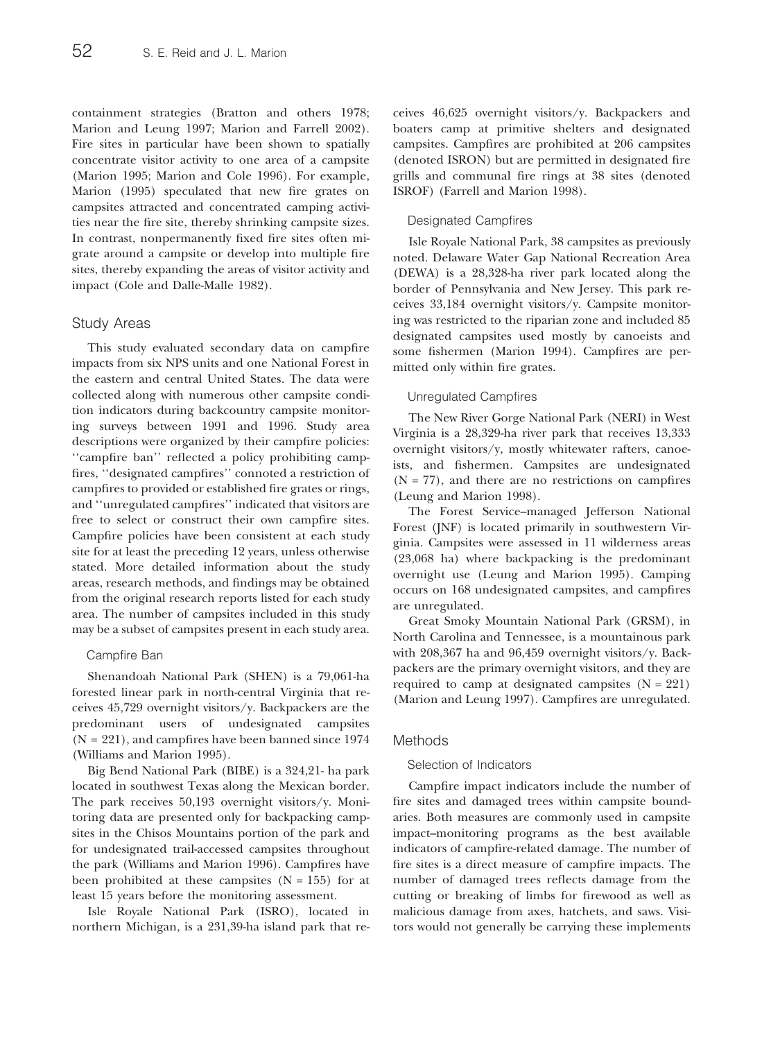containment strategies (Bratton and others 1978; Marion and Leung 1997; Marion and Farrell 2002). Fire sites in particular have been shown to spatially concentrate visitor activity to one area of a campsite (Marion 1995; Marion and Cole 1996). For example, Marion (1995) speculated that new fire grates on campsites attracted and concentrated camping activities near the fire site, thereby shrinking campsite sizes. In contrast, nonpermanently fixed fire sites often migrate around a campsite or develop into multiple fire sites, thereby expanding the areas of visitor activity and impact (Cole and Dalle-Malle 1982).

# Study Areas

This study evaluated secondary data on campfire impacts from six NPS units and one National Forest in the eastern and central United States. The data were collected along with numerous other campsite condition indicators during backcountry campsite monitoring surveys between 1991 and 1996. Study area descriptions were organized by their campfire policies: ''campfire ban'' reflected a policy prohibiting campfires, ''designated campfires'' connoted a restriction of campfires to provided or established fire grates or rings, and ''unregulated campfires'' indicated that visitors are free to select or construct their own campfire sites. Campfire policies have been consistent at each study site for at least the preceding 12 years, unless otherwise stated. More detailed information about the study areas, research methods, and findings may be obtained from the original research reports listed for each study area. The number of campsites included in this study may be a subset of campsites present in each study area.

## Campfire Ban

Shenandoah National Park (SHEN) is a 79,061-ha forested linear park in north-central Virginia that receives 45,729 overnight visitors/y. Backpackers are the predominant users of undesignated campsites  $(N = 221)$ , and campfires have been banned since 1974 (Williams and Marion 1995).

Big Bend National Park (BIBE) is a 324,21- ha park located in southwest Texas along the Mexican border. The park receives 50,193 overnight visitors/y. Monitoring data are presented only for backpacking campsites in the Chisos Mountains portion of the park and for undesignated trail-accessed campsites throughout the park (Williams and Marion 1996). Campfires have been prohibited at these campsites  $(N = 155)$  for at least 15 years before the monitoring assessment.

Isle Royale National Park (ISRO), located in northern Michigan, is a 231,39-ha island park that receives 46,625 overnight visitors/y. Backpackers and boaters camp at primitive shelters and designated campsites. Campfires are prohibited at 206 campsites (denoted ISRON) but are permitted in designated fire grills and communal fire rings at 38 sites (denoted ISROF) (Farrell and Marion 1998).

## Designated Campfires

Isle Royale National Park, 38 campsites as previously noted. Delaware Water Gap National Recreation Area (DEWA) is a 28,328-ha river park located along the border of Pennsylvania and New Jersey. This park receives 33,184 overnight visitors/y. Campsite monitoring was restricted to the riparian zone and included 85 designated campsites used mostly by canoeists and some fishermen (Marion 1994). Campfires are permitted only within fire grates.

## Unregulated Campfires

The New River Gorge National Park (NERI) in West Virginia is a 28,329-ha river park that receives 13,333 overnight visitors/y, mostly whitewater rafters, canoeists, and fishermen. Campsites are undesignated  $(N = 77)$ , and there are no restrictions on campfires (Leung and Marion 1998).

The Forest Service–managed Jefferson National Forest (JNF) is located primarily in southwestern Virginia. Campsites were assessed in 11 wilderness areas (23,068 ha) where backpacking is the predominant overnight use (Leung and Marion 1995). Camping occurs on 168 undesignated campsites, and campfires are unregulated.

Great Smoky Mountain National Park (GRSM), in North Carolina and Tennessee, is a mountainous park with 208,367 ha and 96,459 overnight visitors/y. Backpackers are the primary overnight visitors, and they are required to camp at designated campsites  $(N = 221)$ (Marion and Leung 1997). Campfires are unregulated.

## Methods

#### Selection of Indicators

Campfire impact indicators include the number of fire sites and damaged trees within campsite boundaries. Both measures are commonly used in campsite impact–monitoring programs as the best available indicators of campfire-related damage. The number of fire sites is a direct measure of campfire impacts. The number of damaged trees reflects damage from the cutting or breaking of limbs for firewood as well as malicious damage from axes, hatchets, and saws. Visitors would not generally be carrying these implements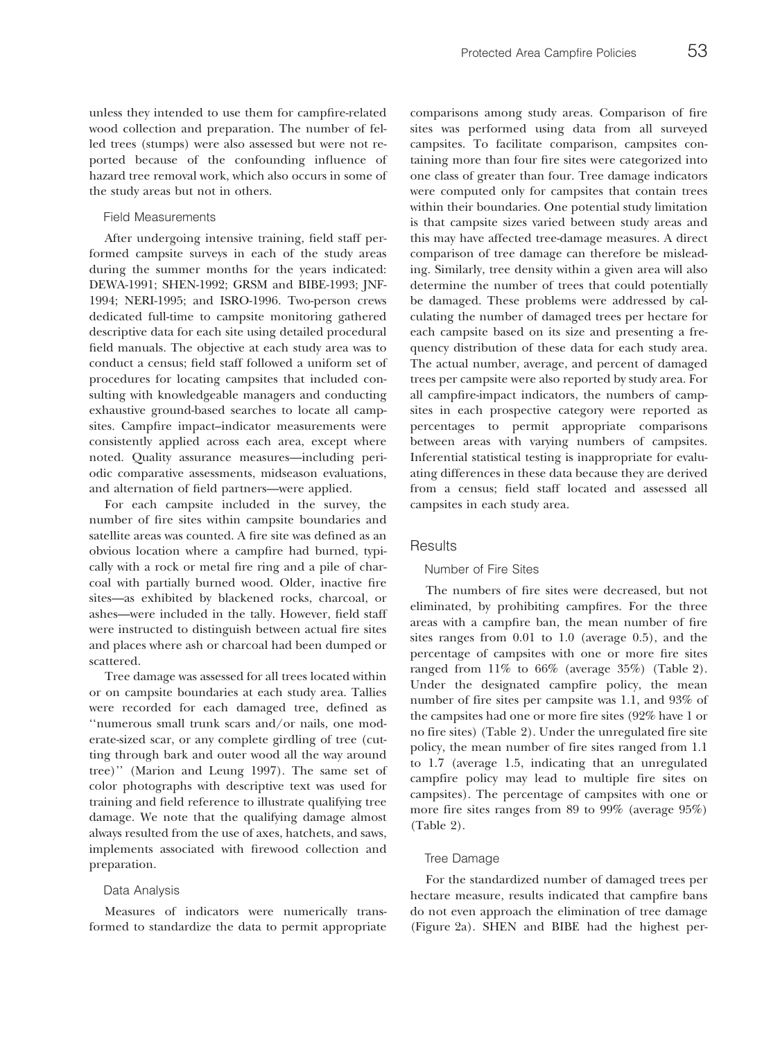unless they intended to use them for campfire-related wood collection and preparation. The number of felled trees (stumps) were also assessed but were not reported because of the confounding influence of hazard tree removal work, which also occurs in some of the study areas but not in others.

# Field Measurements

After undergoing intensive training, field staff performed campsite surveys in each of the study areas during the summer months for the years indicated: DEWA-1991; SHEN-1992; GRSM and BIBE-1993; JNF-1994; NERI-1995; and ISRO-1996. Two-person crews dedicated full-time to campsite monitoring gathered descriptive data for each site using detailed procedural field manuals. The objective at each study area was to conduct a census; field staff followed a uniform set of procedures for locating campsites that included consulting with knowledgeable managers and conducting exhaustive ground-based searches to locate all campsites. Campfire impact–indicator measurements were consistently applied across each area, except where noted. Quality assurance measures—including periodic comparative assessments, midseason evaluations, and alternation of field partners—were applied.

For each campsite included in the survey, the number of fire sites within campsite boundaries and satellite areas was counted. A fire site was defined as an obvious location where a campfire had burned, typically with a rock or metal fire ring and a pile of charcoal with partially burned wood. Older, inactive fire sites—as exhibited by blackened rocks, charcoal, or ashes—were included in the tally. However, field staff were instructed to distinguish between actual fire sites and places where ash or charcoal had been dumped or scattered.

Tree damage was assessed for all trees located within or on campsite boundaries at each study area. Tallies were recorded for each damaged tree, defined as ''numerous small trunk scars and/or nails, one moderate-sized scar, or any complete girdling of tree (cutting through bark and outer wood all the way around tree)'' (Marion and Leung 1997). The same set of color photographs with descriptive text was used for training and field reference to illustrate qualifying tree damage. We note that the qualifying damage almost always resulted from the use of axes, hatchets, and saws, implements associated with firewood collection and preparation.

# Data Analysis

Measures of indicators were numerically transformed to standardize the data to permit appropriate

comparisons among study areas. Comparison of fire sites was performed using data from all surveyed campsites. To facilitate comparison, campsites containing more than four fire sites were categorized into one class of greater than four. Tree damage indicators were computed only for campsites that contain trees within their boundaries. One potential study limitation is that campsite sizes varied between study areas and this may have affected tree-damage measures. A direct comparison of tree damage can therefore be misleading. Similarly, tree density within a given area will also determine the number of trees that could potentially be damaged. These problems were addressed by calculating the number of damaged trees per hectare for each campsite based on its size and presenting a frequency distribution of these data for each study area. The actual number, average, and percent of damaged trees per campsite were also reported by study area. For all campfire-impact indicators, the numbers of campsites in each prospective category were reported as percentages to permit appropriate comparisons between areas with varying numbers of campsites. Inferential statistical testing is inappropriate for evaluating differences in these data because they are derived from a census; field staff located and assessed all campsites in each study area.

# **Results**

# Number of Fire Sites

The numbers of fire sites were decreased, but not eliminated, by prohibiting campfires. For the three areas with a campfire ban, the mean number of fire sites ranges from 0.01 to 1.0 (average 0.5), and the percentage of campsites with one or more fire sites ranged from  $11\%$  to  $66\%$  (average  $35\%$ ) (Table 2). Under the designated campfire policy, the mean number of fire sites per campsite was 1.1, and 93% of the campsites had one or more fire sites (92% have 1 or no fire sites) (Table 2). Under the unregulated fire site policy, the mean number of fire sites ranged from 1.1 to 1.7 (average 1.5, indicating that an unregulated campfire policy may lead to multiple fire sites on campsites). The percentage of campsites with one or more fire sites ranges from 89 to 99% (average 95%) (Table 2).

# Tree Damage

For the standardized number of damaged trees per hectare measure, results indicated that campfire bans do not even approach the elimination of tree damage (Figure 2a). SHEN and BIBE had the highest per-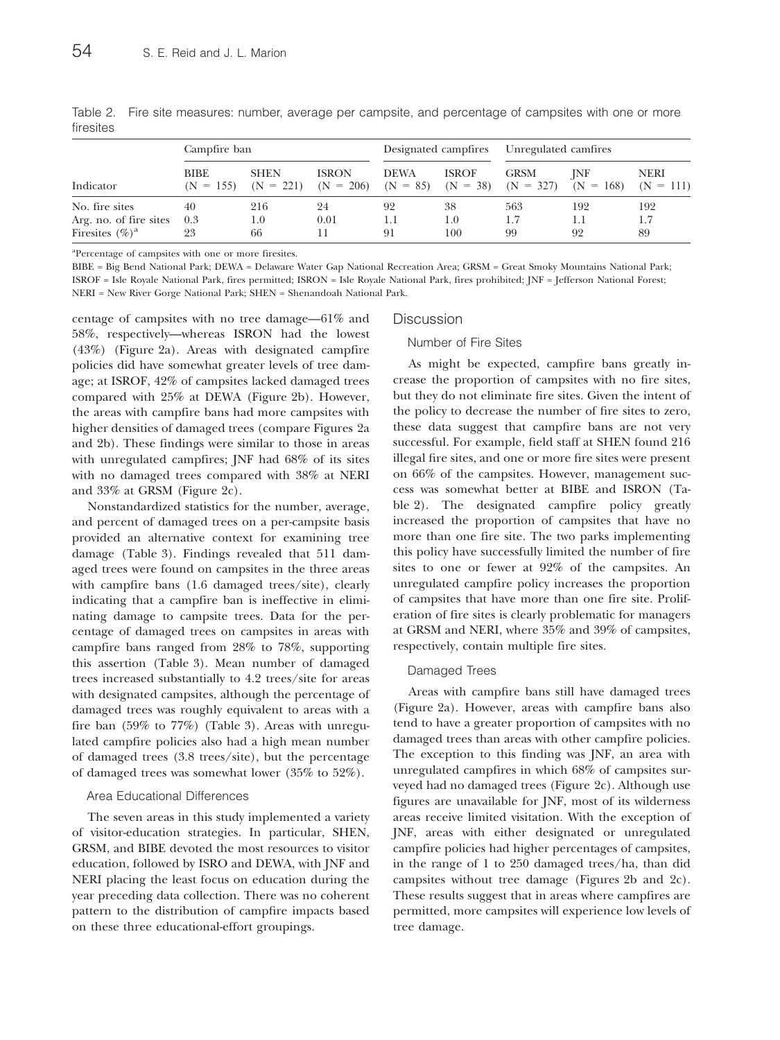| Indicator                                                      | Campfire ban               |                            |                             |                           | Designated campfires       | Unregulated camfires       |                    |                            |
|----------------------------------------------------------------|----------------------------|----------------------------|-----------------------------|---------------------------|----------------------------|----------------------------|--------------------|----------------------------|
|                                                                | <b>BIBE</b><br>$(N = 155)$ | <b>SHEN</b><br>$(N = 221)$ | <b>ISRON</b><br>$(N = 206)$ | <b>DEWA</b><br>$(N = 85)$ | <b>ISROF</b><br>$(N = 38)$ | <b>GRSM</b><br>$(N = 327)$ | INF<br>$(N = 168)$ | <b>NERI</b><br>$(N = 111)$ |
| No. fire sites<br>Arg. no. of fire sites<br>Firesites $(\%)^a$ | 40<br>0.3<br>23            | 216<br>1.0<br>66           | 24<br>0.01                  | 92<br>1.1<br>91           | 38<br>1.0<br>100           | 563<br>99                  | 192<br>92          | 192<br>1.7<br>89           |

Table 2. Fire site measures: number, average per campsite, and percentage of campsites with one or more firesites

a Percentage of campsites with one or more firesites.

BIBE = Big Bend National Park; DEWA = Delaware Water Gap National Recreation Area; GRSM = Great Smoky Mountains National Park; ISROF = Isle Royale National Park, fires permitted; ISRON = Isle Royale National Park, fires prohibited; JNF = Jefferson National Forest; NERI = New River Gorge National Park; SHEN = Shenandoah National Park.

centage of campsites with no tree damage—61% and 58%, respectively—whereas ISRON had the lowest (43%) (Figure 2a). Areas with designated campfire policies did have somewhat greater levels of tree damage; at ISROF, 42% of campsites lacked damaged trees compared with 25% at DEWA (Figure 2b). However, the areas with campfire bans had more campsites with higher densities of damaged trees (compare Figures 2a and 2b). These findings were similar to those in areas with unregulated campfires; JNF had 68% of its sites with no damaged trees compared with 38% at NERI and 33% at GRSM (Figure 2c).

Nonstandardized statistics for the number, average, and percent of damaged trees on a per-campsite basis provided an alternative context for examining tree damage (Table 3). Findings revealed that 511 damaged trees were found on campsites in the three areas with campfire bans (1.6 damaged trees/site), clearly indicating that a campfire ban is ineffective in eliminating damage to campsite trees. Data for the percentage of damaged trees on campsites in areas with campfire bans ranged from 28% to 78%, supporting this assertion (Table 3). Mean number of damaged trees increased substantially to 4.2 trees/site for areas with designated campsites, although the percentage of damaged trees was roughly equivalent to areas with a fire ban (59% to 77%) (Table 3). Areas with unregulated campfire policies also had a high mean number of damaged trees (3.8 trees/site), but the percentage of damaged trees was somewhat lower (35% to 52%).

## Area Educational Differences

The seven areas in this study implemented a variety of visitor-education strategies. In particular, SHEN, GRSM, and BIBE devoted the most resources to visitor education, followed by ISRO and DEWA, with JNF and NERI placing the least focus on education during the year preceding data collection. There was no coherent pattern to the distribution of campfire impacts based on these three educational-effort groupings.

## Discussion

#### Number of Fire Sites

As might be expected, campfire bans greatly increase the proportion of campsites with no fire sites, but they do not eliminate fire sites. Given the intent of the policy to decrease the number of fire sites to zero, these data suggest that campfire bans are not very successful. For example, field staff at SHEN found 216 illegal fire sites, and one or more fire sites were present on 66% of the campsites. However, management success was somewhat better at BIBE and ISRON (Table 2). The designated campfire policy greatly increased the proportion of campsites that have no more than one fire site. The two parks implementing this policy have successfully limited the number of fire sites to one or fewer at 92% of the campsites. An unregulated campfire policy increases the proportion of campsites that have more than one fire site. Proliferation of fire sites is clearly problematic for managers at GRSM and NERI, where 35% and 39% of campsites, respectively, contain multiple fire sites.

#### Damaged Trees

Areas with campfire bans still have damaged trees (Figure 2a). However, areas with campfire bans also tend to have a greater proportion of campsites with no damaged trees than areas with other campfire policies. The exception to this finding was JNF, an area with unregulated campfires in which 68% of campsites surveyed had no damaged trees (Figure 2c). Although use figures are unavailable for JNF, most of its wilderness areas receive limited visitation. With the exception of JNF, areas with either designated or unregulated campfire policies had higher percentages of campsites, in the range of 1 to 250 damaged trees/ha, than did campsites without tree damage (Figures 2b and 2c). These results suggest that in areas where campfires are permitted, more campsites will experience low levels of tree damage.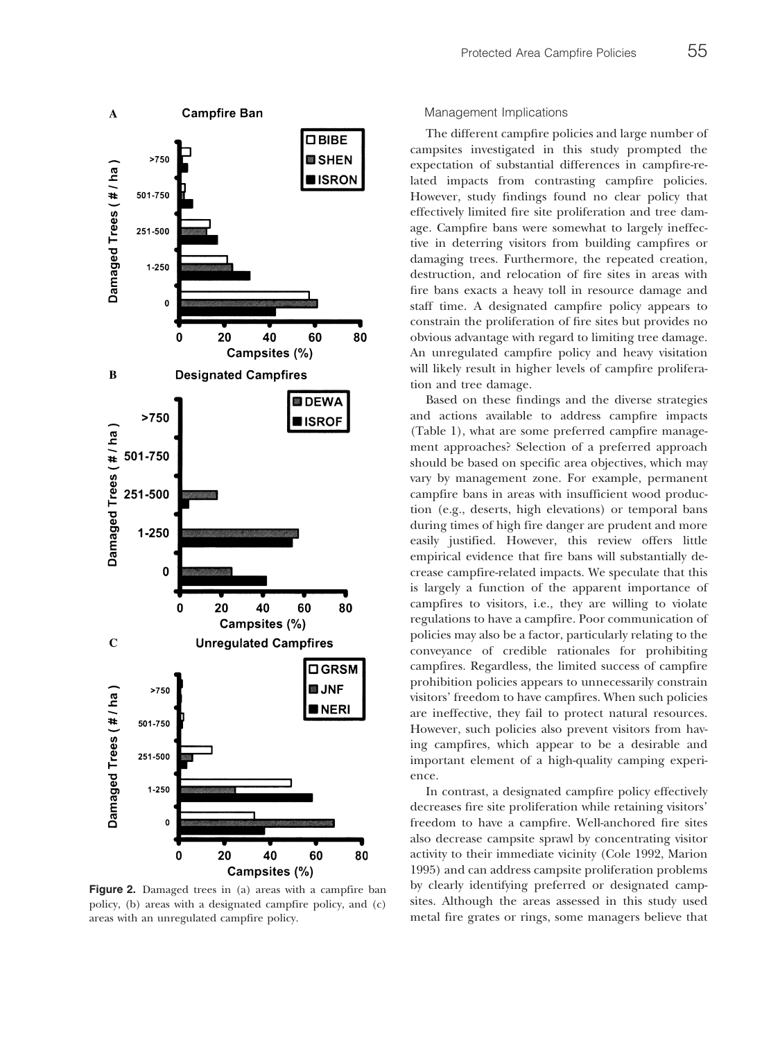

Figure 2. Damaged trees in (a) areas with a campfire ban policy, (b) areas with a designated campfire policy, and (c) areas with an unregulated campfire policy.

## Management Implications

The different campfire policies and large number of campsites investigated in this study prompted the expectation of substantial differences in campfire-related impacts from contrasting campfire policies. However, study findings found no clear policy that effectively limited fire site proliferation and tree damage. Campfire bans were somewhat to largely ineffective in deterring visitors from building campfires or damaging trees. Furthermore, the repeated creation, destruction, and relocation of fire sites in areas with fire bans exacts a heavy toll in resource damage and staff time. A designated campfire policy appears to constrain the proliferation of fire sites but provides no obvious advantage with regard to limiting tree damage. An unregulated campfire policy and heavy visitation will likely result in higher levels of campfire proliferation and tree damage.

Based on these findings and the diverse strategies and actions available to address campfire impacts (Table 1), what are some preferred campfire management approaches? Selection of a preferred approach should be based on specific area objectives, which may vary by management zone. For example, permanent campfire bans in areas with insufficient wood production (e.g., deserts, high elevations) or temporal bans during times of high fire danger are prudent and more easily justified. However, this review offers little empirical evidence that fire bans will substantially decrease campfire-related impacts. We speculate that this is largely a function of the apparent importance of campfires to visitors, i.e., they are willing to violate regulations to have a campfire. Poor communication of policies may also be a factor, particularly relating to the conveyance of credible rationales for prohibiting campfires. Regardless, the limited success of campfire prohibition policies appears to unnecessarily constrain visitors' freedom to have campfires. When such policies are ineffective, they fail to protect natural resources. However, such policies also prevent visitors from having campfires, which appear to be a desirable and important element of a high-quality camping experience.

In contrast, a designated campfire policy effectively decreases fire site proliferation while retaining visitors' freedom to have a campfire. Well-anchored fire sites also decrease campsite sprawl by concentrating visitor activity to their immediate vicinity (Cole 1992, Marion 1995) and can address campsite proliferation problems by clearly identifying preferred or designated campsites. Although the areas assessed in this study used metal fire grates or rings, some managers believe that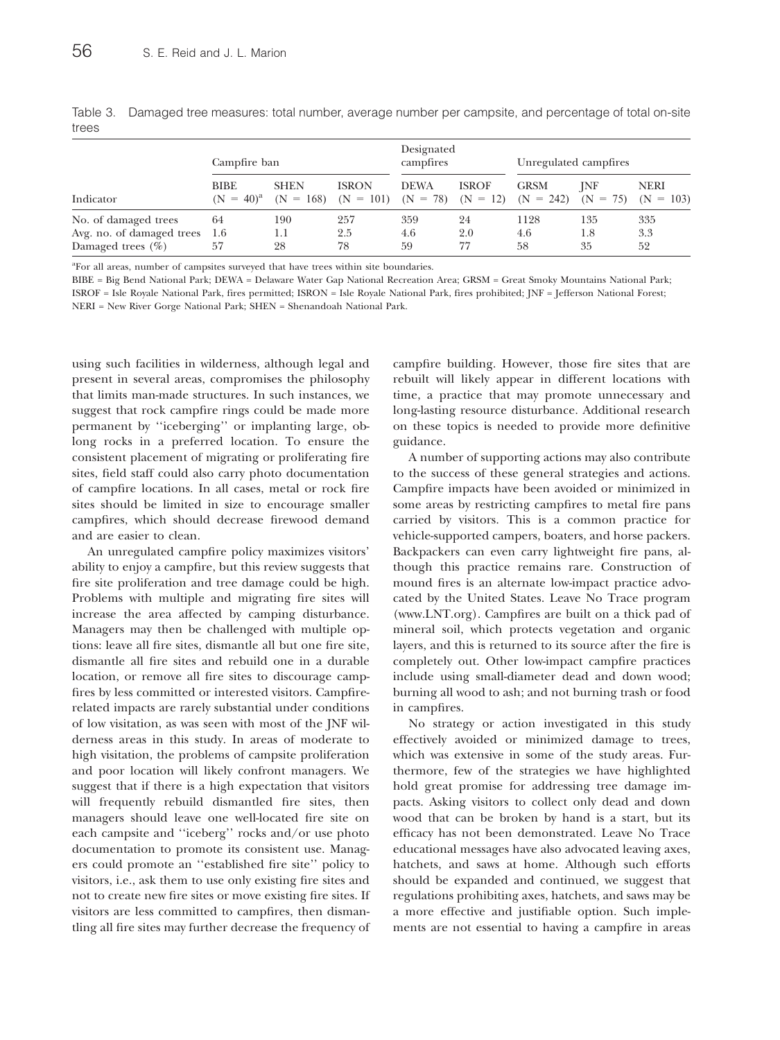|                                                                            | Campfire ban                  |                                                                                                 |                  | Designated<br>campfires |                 | Unregulated campfires |                  |                  |
|----------------------------------------------------------------------------|-------------------------------|-------------------------------------------------------------------------------------------------|------------------|-------------------------|-----------------|-----------------------|------------------|------------------|
| Indicator                                                                  | <b>BIBE</b><br>$(N = 40)^{a}$ | <b>SHEN</b><br>$(N = 168)$ $(N = 101)$ $(N = 78)$ $(N = 12)$ $(N = 242)$ $(N = 75)$ $(N = 103)$ | <b>ISRON</b>     | DEWA                    | <b>ISROF</b>    | <b>GRSM</b>           | INF              | <b>NERI</b>      |
| No. of damaged trees<br>Avg. no. of damaged trees<br>Damaged trees $(\% )$ | 64<br>1.6<br>57               | 190<br>1.1<br>28                                                                                | 257<br>2.5<br>78 | 359<br>4.6<br>59        | 24<br>2.0<br>77 | 1128<br>4.6<br>58     | 135<br>1.8<br>35 | 335<br>3.3<br>52 |

Table 3. Damaged tree measures: total number, average number per campsite, and percentage of total on-site trees

<sup>a</sup>For all areas, number of campsites surveyed that have trees within site boundaries.

BIBE = Big Bend National Park; DEWA = Delaware Water Gap National Recreation Area; GRSM = Great Smoky Mountains National Park; ISROF = Isle Royale National Park, fires permitted; ISRON = Isle Royale National Park, fires prohibited; JNF = Jefferson National Forest; NERI = New River Gorge National Park; SHEN = Shenandoah National Park.

using such facilities in wilderness, although legal and present in several areas, compromises the philosophy that limits man-made structures. In such instances, we suggest that rock campfire rings could be made more permanent by ''iceberging'' or implanting large, oblong rocks in a preferred location. To ensure the consistent placement of migrating or proliferating fire sites, field staff could also carry photo documentation of campfire locations. In all cases, metal or rock fire sites should be limited in size to encourage smaller campfires, which should decrease firewood demand and are easier to clean.

An unregulated campfire policy maximizes visitors' ability to enjoy a campfire, but this review suggests that fire site proliferation and tree damage could be high. Problems with multiple and migrating fire sites will increase the area affected by camping disturbance. Managers may then be challenged with multiple options: leave all fire sites, dismantle all but one fire site, dismantle all fire sites and rebuild one in a durable location, or remove all fire sites to discourage campfires by less committed or interested visitors. Campfirerelated impacts are rarely substantial under conditions of low visitation, as was seen with most of the JNF wilderness areas in this study. In areas of moderate to high visitation, the problems of campsite proliferation and poor location will likely confront managers. We suggest that if there is a high expectation that visitors will frequently rebuild dismantled fire sites, then managers should leave one well-located fire site on each campsite and ''iceberg'' rocks and/or use photo documentation to promote its consistent use. Managers could promote an ''established fire site'' policy to visitors, i.e., ask them to use only existing fire sites and not to create new fire sites or move existing fire sites. If visitors are less committed to campfires, then dismantling all fire sites may further decrease the frequency of campfire building. However, those fire sites that are rebuilt will likely appear in different locations with time, a practice that may promote unnecessary and long-lasting resource disturbance. Additional research on these topics is needed to provide more definitive guidance.

A number of supporting actions may also contribute to the success of these general strategies and actions. Campfire impacts have been avoided or minimized in some areas by restricting campfires to metal fire pans carried by visitors. This is a common practice for vehicle-supported campers, boaters, and horse packers. Backpackers can even carry lightweight fire pans, although this practice remains rare. Construction of mound fires is an alternate low-impact practice advocated by the United States. Leave No Trace program (www.LNT.org). Campfires are built on a thick pad of mineral soil, which protects vegetation and organic layers, and this is returned to its source after the fire is completely out. Other low-impact campfire practices include using small-diameter dead and down wood; burning all wood to ash; and not burning trash or food in campfires.

No strategy or action investigated in this study effectively avoided or minimized damage to trees, which was extensive in some of the study areas. Furthermore, few of the strategies we have highlighted hold great promise for addressing tree damage impacts. Asking visitors to collect only dead and down wood that can be broken by hand is a start, but its efficacy has not been demonstrated. Leave No Trace educational messages have also advocated leaving axes, hatchets, and saws at home. Although such efforts should be expanded and continued, we suggest that regulations prohibiting axes, hatchets, and saws may be a more effective and justifiable option. Such implements are not essential to having a campfire in areas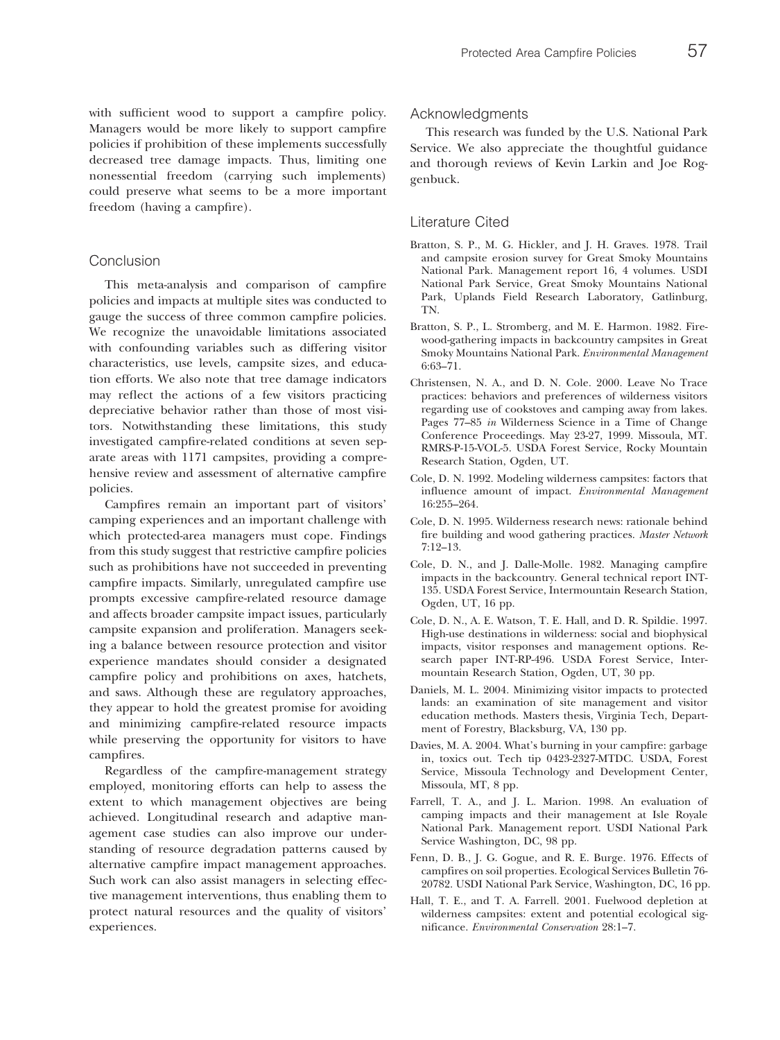with sufficient wood to support a campfire policy. Managers would be more likely to support campfire policies if prohibition of these implements successfully decreased tree damage impacts. Thus, limiting one nonessential freedom (carrying such implements) could preserve what seems to be a more important freedom (having a campfire).

## Conclusion

This meta-analysis and comparison of campfire policies and impacts at multiple sites was conducted to gauge the success of three common campfire policies. We recognize the unavoidable limitations associated with confounding variables such as differing visitor characteristics, use levels, campsite sizes, and education efforts. We also note that tree damage indicators may reflect the actions of a few visitors practicing depreciative behavior rather than those of most visitors. Notwithstanding these limitations, this study investigated campfire-related conditions at seven separate areas with 1171 campsites, providing a comprehensive review and assessment of alternative campfire policies.

Campfires remain an important part of visitors' camping experiences and an important challenge with which protected-area managers must cope. Findings from this study suggest that restrictive campfire policies such as prohibitions have not succeeded in preventing campfire impacts. Similarly, unregulated campfire use prompts excessive campfire-related resource damage and affects broader campsite impact issues, particularly campsite expansion and proliferation. Managers seeking a balance between resource protection and visitor experience mandates should consider a designated campfire policy and prohibitions on axes, hatchets, and saws. Although these are regulatory approaches, they appear to hold the greatest promise for avoiding and minimizing campfire-related resource impacts while preserving the opportunity for visitors to have campfires.

Regardless of the campfire-management strategy employed, monitoring efforts can help to assess the extent to which management objectives are being achieved. Longitudinal research and adaptive management case studies can also improve our understanding of resource degradation patterns caused by alternative campfire impact management approaches. Such work can also assist managers in selecting effective management interventions, thus enabling them to protect natural resources and the quality of visitors' experiences.

## Acknowledgments

This research was funded by the U.S. National Park Service. We also appreciate the thoughtful guidance and thorough reviews of Kevin Larkin and Joe Roggenbuck.

# Literature Cited

- Bratton, S. P., M. G. Hickler, and J. H. Graves. 1978. Trail and campsite erosion survey for Great Smoky Mountains National Park. Management report 16, 4 volumes. USDI National Park Service, Great Smoky Mountains National Park, Uplands Field Research Laboratory, Gatlinburg, TN.
- Bratton, S. P., L. Stromberg, and M. E. Harmon. 1982. Firewood-gathering impacts in backcountry campsites in Great Smoky Mountains National Park. Environmental Management 6:63–71.
- Christensen, N. A., and D. N. Cole. 2000. Leave No Trace practices: behaviors and preferences of wilderness visitors regarding use of cookstoves and camping away from lakes. Pages 77–85 in Wilderness Science in a Time of Change Conference Proceedings. May 23-27, 1999. Missoula, MT. RMRS-P-15-VOL-5. USDA Forest Service, Rocky Mountain Research Station, Ogden, UT.
- Cole, D. N. 1992. Modeling wilderness campsites: factors that influence amount of impact. Environmental Management 16:255–264.
- Cole, D. N. 1995. Wilderness research news: rationale behind fire building and wood gathering practices. Master Network 7:12–13.
- Cole, D. N., and J. Dalle-Molle. 1982. Managing campfire impacts in the backcountry. General technical report INT-135. USDA Forest Service, Intermountain Research Station, Ogden, UT, 16 pp.
- Cole, D. N., A. E. Watson, T. E. Hall, and D. R. Spildie. 1997. High-use destinations in wilderness: social and biophysical impacts, visitor responses and management options. Research paper INT-RP-496. USDA Forest Service, Intermountain Research Station, Ogden, UT, 30 pp.
- Daniels, M. L. 2004. Minimizing visitor impacts to protected lands: an examination of site management and visitor education methods. Masters thesis, Virginia Tech, Department of Forestry, Blacksburg, VA, 130 pp.
- Davies, M. A. 2004. What's burning in your campfire: garbage in, toxics out. Tech tip 0423-2327-MTDC. USDA, Forest Service, Missoula Technology and Development Center, Missoula, MT, 8 pp.
- Farrell, T. A., and J. L. Marion. 1998. An evaluation of camping impacts and their management at Isle Royale National Park. Management report. USDI National Park Service Washington, DC, 98 pp.
- Fenn, D. B., J. G. Gogue, and R. E. Burge. 1976. Effects of campfires on soil properties. Ecological Services Bulletin 76- 20782. USDI National Park Service, Washington, DC, 16 pp.
- Hall, T. E., and T. A. Farrell. 2001. Fuelwood depletion at wilderness campsites: extent and potential ecological significance. Environmental Conservation 28:1–7.